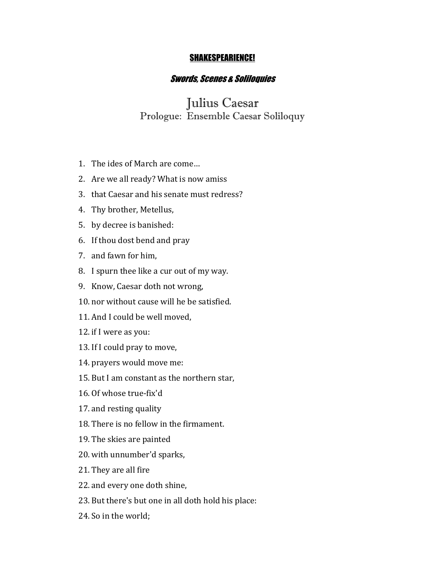## SHAKESPEARIENCE!

## Swords, Scenes & Soliloquies

## Julius Caesar Prologue: Ensemble Caesar Soliloquy

- 1. The ides of March are come...
- 2. Are we all ready? What is now amiss
- 3. that Caesar and his senate must redress?
- 4. Thy brother, Metellus,
- 5. by decree is banished:
- 6. If thou dost bend and pray
- 7. and fawn for him,
- 8. I spurn thee like a cur out of my way.
- 9. Know, Caesar doth not wrong,
- 10. nor without cause will he be satisfied.
- 11. And I could be well moved.
- 12. if I were as you:
- 13. If I could pray to move,
- 14. prayers would move me:
- 15. But I am constant as the northern star,
- 16. Of whose true-fix'd
- 17. and resting quality
- 18. There is no fellow in the firmament.
- 19. The skies are painted
- 20. with unnumber'd sparks,
- 21. They are all fire
- 22. and every one doth shine,
- 23. But there's but one in all doth hold his place:
- 24. So in the world: